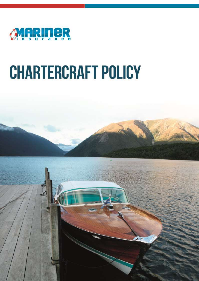

# **CHARTERCRAFT POLICY**

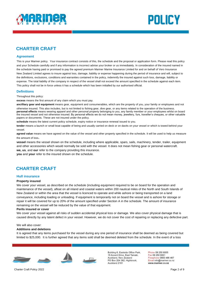



# **CHARTER CRAFT**

#### **Agreement**

This is your Mariner policy. Your insurance contract consists of this, the schedule and the proposal or application form. Please read this policy and your Schedule carefully and if any information is incorrect advise your broker or us immediately. In consideration of the insured named in the schedule having paid or promised to pay the agreed premium Mariner Marine Insurance Limited for and on behalf of Vero Insurance New Zealand Limited agrees to insure against loss, damage, liability or expense happening during the period of insurance and will, subject to the definitions, exclusions, conditions and warranties contained in the policy, indemnify the insured against such loss, damage, liability or expense. The total liability of the company in respect of the vessel shall not exceed the amount specified in the schedule against each item. This policy shall not be in force unless it has a schedule which has been initialled by our authorised official.

#### **Definitions**

Throughout this policy:

**excess** means the first amount of any claim which you must pay.

**ancilliary gear and equipment** means gear, equipment and consumerables, which are the property of you, your family or employees and not otherwise insured. This also includes, but is not limited to fishing gear, dive gear, or any items related to the operation of the business. **personal effects** means wearing apparel and other personal property belonging to you, any family member or your employees whilst on board the insured vessel and not otherwise insured. By personal effects we do not mean money, jewellery, furs, traveller's cheques, or other valuable papers or documents. These are not insured under the policy.

**schedule** means the latest current policy schedule, expiry notice or insurance renewal issued to you.

**tender** means a launch or small boat capable of being and usually carried on deck or on davits on your vessel or which is towed behind your vessel.

**agreed value** means we have agreed on the value of the vessel and other property specified in the schedule. It will be used to help us measure the amount of loss.

**vessel** means the vessel shown on the schedule, including where applicable, spars, sails, machinery, tender, trailer, equipment and other accessories which would normally be sold with the vessel. It does not mean fishing gear or personal watercraft. **we, us**, and **our** refer to the company providing this insurance.

**you** and **your** refer to the insured shown on the schedule.

# **CHARTER CRAFT**

#### **Hull insurance**

#### **Property insured**

We cover your vessel, as described on the schedule (including equipment required to be on board for the operation and maintenance of the vessel), afloat on all inland and coastal waters within 200 nautical miles of the North and South Islands of New Zealand or within the area that the vessel is licenced to operate and while ashore or being transported on a land conveyance, including loading or unloading. If equipment is temporarily not on board the vessel and is ashore for storage or repair it will be covered for up to 20% of the amount specified under Section A in the schedule. The amount of insurance remaining on the vessel will be reduced by the value of that equipment.

#### **Perils insured or cover**

We cover your vessel against all risks of sudden accidental physical loss or damage. We also cover physical damage that is caused directly by any latent defect in your vessel. However, we do not cover the cost of repairing or replacing any defective part.

#### We will also cover:

#### **Additions and deletions**

It is agreed that any items purchased for the vessel during any one period of insurance shall be deemed as being covered but limited to \$25,000. It is further agreed that any items sold shall be deemed deleted from the schedule. In the event of a loss



Building 6, Eastside Office Park, 15 Accent Drive, East Tamaki. Auckland, New Zealand PO Box 204 362, Highbrook, Auckland 2161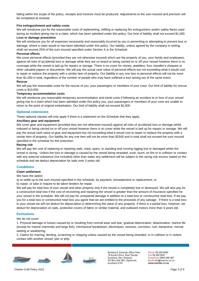falling within the scope of the policy, receipts and invoices must be produced. Adjustments to the sum insured and premium will be completed at renewal.

#### **Fire extinguishment and safety costs**

We will reimburse you for the reasonable costs of replenishing, refilling or replacing fire extinguishers and/or safety flares used during an incident giving rise to a claim, which has been admitted under this policy. Our limit of liability shall not exceed \$1,000. **Loss or damage prevention**

#### We will reimburse you for all expenses necessarily and reasonably incurred by you in preventing or attempting to prevent loss or damage, where a claim would or has been admitted under this policy. Our liability, unless agreed by the company in writing, shall not exceed 25% of the sum insured specified under Section A in the Schedule.

#### **Personal effects**

We cover personal effects (provided they are not otherwise insured) which are the property of you, your family and employees, against all risks of accidental loss or damage while they are on board or being carried on or off your vessel however there is no coverage while the vessel is laid up for repairs or storage. There is no cover for money, jewellery, furs, traveller's cheques or other valuable papers or documents. We will pay the actual cash value of personal effects but not exceeding what it would cost to repair or replace the property with a similar item of property. Our liability in any one loss to personal effects will not be more than \$1,000 in total, regardless of the number of people who may have suffered a loss arising out of the same event. **Rescue**

We will pay the reasonable costs for the rescue of you, your passengers or members of your crew. Our limit of liability for rescue costs is \$10,000.

#### **Temporary accommodation costs**

We will reimburse you reasonable temporary accommodation and travel costs if following an accident to or loss of your vessel giving rise to a claim which has been admitted under this policy you, your passengers or members of your crew are unable to return to the point of original embarkation. Our limit of liability shall not exceed \$2,500.

#### **Optional extensions**

These optional clauses will only apply if there is a statement on the Schedule that they apply.

#### **Ancilliary gear and equipment**

We cover gear and equipment (provided they are not otherwise insured) against all risks of accidental loss or damage whilst onboard or being carried on or off your vessel however there is no cover while the vessel is laid up for repairs or storage. We will pay the actual cash value of gear and equipment but not exceeding what it would cost to repair or replace the property with a similar item of property. Our liability for any one item will not be more than \$2500 and in total shall not exceed the sum insured specified in the schedule for this extension.

#### **Racing risk**

We will pay the cost of replacing or repairing sails, mast, spars, or standing and running rigging lost or damaged whilst the vessel is racing. Unless the loss or damage is caused by the vessel being stranded, sunk, burnt, on fire or in collision or contact with any external substance (ice included) other than water any settlement will be subject to the racing risk excess stated on the schedule and we deduct depreciation for sails over 3 years old.

#### **Conditions**

#### **Claim settlement**

We have the option:

a) to settle up to the sum insured specified in the schedule, by payment, reinstatement or replacement, or

b) repair, or take or require to be taken tenders for repair.

We will pay for total loss of your vessel and other property only if the vessel is completely lost or destroyed. We will also pay for a constructive total loss if the cost of recovering and repairing the vessel is greater than the amount of insurance specified for your vessel in the schedule. We will not pay for unrepaired damage in addition to a total loss or constructive total loss. If we pay you for a total loss or constructive total loss you agree that we are entitled to the proceeds of any salvage. If there is a total loss to your vessel we will not deduct for depreciation in determining the value of any property. If there is a partial loss, however, we deduct for depreciation on sails, protective covers of fabric or similar material, and outboard motors more than 3 years old.

#### **Exclusions**

#### We do not cover:

1. Physical damage or losses caused by or resulting from normal wear and tear, gradual deterioration, delamination, marine life (except for marine mammals and large fish), mechanical breakdown, electrolysis, osmosis, corrosion, rust, dampness, normal wetting or weathering.

2. Claims for marring, denting, scratching or chipping unless caused by the vessel being stranded, or in collision or in violent contact with another vessel, pier or jetty.



Building 6, Eastside Office Park, 15 Accent Drive, East Tamaki. Auckland, New Zealand PO Box 204 362, Highbrook. Auckland 2161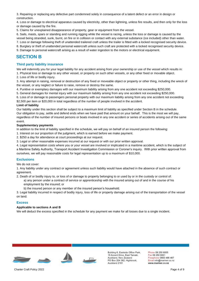3. Repairing or replacing any defective part condemned solely in consequence of a latent defect or an error in design or construction.

4. Loss or damage to electrical apparatus caused by electricity, other than lightning, unless fire results, and then only for the loss or damage caused by the fire.

5. Claims for unexplained disappearance of property, gear or equipment from the vessel.

6. Sails, masts, spars or standing and running rigging while the vessel is racing, unless the loss or damage is caused by the vessel being stranded, sunk, burnt, on fire or in collision or contact with any external substance (ice included) other than water.

7. Loss or damage following theft of unattended trailered craft unless the trailer is fitted with a locked recognised security device.

8. Burglary or theft of unattended personal watercraft unless such craft are protected with a locked recognised security device.

9. Damage to personal watercraft arising as a result of water ingestion to the motors or electrical equipment.

## **SECTION B**

#### **Third party liability insurance**

We will indemnify you for your legal liability for any accident arising from your ownership or use of the vessel which results in:

1. Physical loss or damage to any other vessel, or property on such other vessels, or any other fixed or movable object.

2. Loss of life or bodily injury.

3. Any attempt in raising, removal or destruction of any fixed or moveable object or property or other thing, including the wreck of the vessel, or any neglect or failure to raise, remove or destroy the same.

4. Punitive or exemplary damages with our maximum liability arising from any one accident not exceeding \$250,000.

5. General damages for mental injury with our maximum liability arising from any one accident not exceeding \$250,000.

6. Loss of or damage to passengers personal property with our maximum liability arising from any one accident not exceeding \$2,500 per item or \$20,000 in total regardless of the number of people involved in the accident.

#### **Limit of liability**

Our liability under this section shall be subject to a maximum limit of liability as specified under Section B in the schedule. Our obligation to pay, settle and defend ends when we have paid that amount on your behalf. This is the most we will pay, regardless of the number of insured persons or boats involved in any one accident or series of accidents arising out of the same event.

#### **Supplementary payments**

In addition to the limit of liability specified in the schedule, we will pay on behalf of an insured person the following:

- 1. Interest on our proportion of the judgment, which is earned before we make payment.
- 2. \$250 a day for attendance at court proceedings at our request.
- 3. Legal or other reasonable expenses incurred at our request or with our prior written approval.

4. Legal representation costs where you or your vessel are involved or implicated in a maritime accident, which is the subject of a Maritime Safety Authority, Transport Accident Investigation Commission or Coroner's inquiry. With prior written approval from ourselves, we will pay reasonable costs for legal representation up to a maximum of \$10,000.

#### **Exclusions**

We do not cover:

1. Any liability under any contract or agreement unless such liability would have attached in the absence of such contract or agreement.

2. Death of or bodily injury to, or loss of or damage to property belonging to or used by or in the custody or control of:

a) any person under a contract of service or apprenticeship with the insured arising out of and in the course of his employment by the insured; or

b) the insured person or any member of the insured person's household.

3. Legal liability incurred in respect of bodily injury, loss of life or property damage arising out of the transportation of the vessel on land.

#### **Excess**

#### **Applicable to sections A and B**

We will deduct the excess specified in the schedule for any payment we make for all losses due to a single incident.



Building 6, Eastside Office Park, 15 Accent Drive, East Tamaki, Auckland, New Zealand PO Box 204 362, Highbrook. Auckland 2161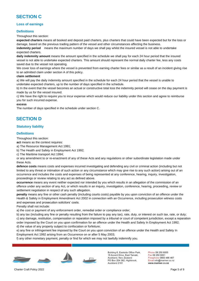# **SECTION C**

#### **Loss of earnings**

#### **Definitions**

Throughout this section:

**expected charters** means all booked and deposit paid charters, plus charters that could have been expected but for the loss or damage, based on the previous trading pattern of the vessel and other circumstances affecting the business.

**indemnity period** means the maximum number of days we shall pay whilst the insured vessel is not able to undertake expected charters.

**daily indemnity amount** means the amount specified in the schedule we shall pay for each 24 hour period that the insured vessel is not able to undertake expected charters. This amount should represent the normal daily charter fee, less any costs saved due to the vessel not operating.

We cover loss of earnings where the vessel is prevented from earning charter fees or similar as a result of an incident giving rise to an admitted claim under section A of this policy.

#### **claim settlement**

a) We will pay the daily indemnity amount specified in the schedule for each 24 hour period that the vessel is unable to undertake expected charters, up to the number of days specified in the schedule.

b) In the event that the vessel becomes an actual or constructive total loss the indemnity period will cease on the day payment is made by us for the vessel insured.

c) We have the right to require you to incur expense which would reduce our liability under this section and agree to reimburse you for such incurred expense.

#### **excess**

The number of days specified in the schedule under section C.

# **SECTION D**

#### **Statutory liability**

#### **Definitions**

Throughout this section:

**act** means as the context requires:

a) The Resource Management Act 1991;

b) The Health and Safety in Employment Act 1992;

c) The Maritime transport Act 1994;

or any amendment to or re-enactment of any of these Acts and any regulations or other subordinate legislation made under these Acts.

**defence costs** means costs and expenses incurred investigating and defending any civil or criminal action (including but not limited to any threat or intimation of such action or any circumstance which may give rise to any such action) arising out of an occurrence and includes the costs and expenses of being represented at any conference, hearing, inquiry, investigation, proceedings or review relating to any act as defined above.

**occurrence** means any event neither expected nor intended by you which results in an allegation of the commission of an offence under any section of any Act, or which results in an inquiry, investigation, conference, hearing, proceeding, review or settlement negotiation in respect of any such allegation.

**penalty** means any fine or other cash penalty (including courts costs) payable by you upon conviction of an offence under the Health & Safety in Employment Amendment Act 2002 in connection with an Occurrence, including prosecution witness costs and expenses and prosecution solicitors' costs.

Penalty shall not include:

a) the cost or payment of any enforcement order, remedial order or compliance order;

b) any tax (including any fine or penalty resulting from the failure to pay any tax), rate, duty, or interest on such tax, rate, or duty; c) any damage, restitution, compensation or reparation imposed by a tribunal or court of competent jurisdiction, except a reparation order imposed by the Court on you upon confirmation for an offence under the Health and Safety In Employment Act 1992; d) the value of any property subject to confiscation or forfeiture;

e) any fine or infringement fee imposed by the Court on you upon conviction of an offence under the Health and Safety In Employment Act 1992 arising from an Occurrence on or after 5 May 2003;

f) any other monetary payment, penalty or find for which we may not lawfully indemnify you.



Building 6, Eastside Office Park, 15 Accent Drive, East Tamaki. Auckland, New Zealand PO Box 204 362, Highbrook, Auckland 2161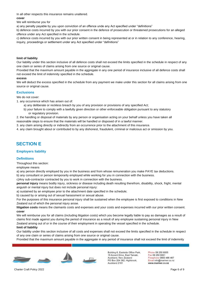In all other respects this insurance remains unaltered.

#### **cover**

We will reimburse you for

a) any penalty payable by you upon conviction of an offence unde any Act specified under "definitions"

b) defence costs incurred by you with our prior consent in the defence of prosecution or threatened prosecutions for an alleged offence under any Act specified in the schedule.

c) defence costs incurred by you with our prior written consent in being represented at or in relation to any conference, hearing, inquiry, proceedings or settlement under any Act specified under "definitions"

#### **limit of liability**

Our liability under this section inclusive of all defence costs shall not exceed the limits specified in the schedule in respect of any one claim or series of claims arising from one source or original cause.

Provided that the maximum amount payable in the aggregate in any one period of insurance inclusive of all defence costs shall not exceed the limit of indemnity specified in the schedule.

#### **excess**

We will deduct the excess specified in the schedule from any payment we make under this section for all claims arising from one source or original cause.

#### **Exclusions**

We do not cover:

1. any occurrence which has arisen out of:

- a) any deliberate or reckless breach by you of any provision or provisions of any specified Act;
- b) your failure to comply with a lawfully given direction or other enforceable obligation pursuant to any statutory or regulatory provision.

2. the handling or disposal of materials by any person or organisation acting on your behalf unless you have taken all reasonable steps to ensure that the materials will be handled or disposed of in a lawful manner.

3. any claim arising directly or indirectly from an occurrence prior to the attachment of this insurance.

4. any claim brought about or contributed to by any dishonest, fraudulent, criminal or malicious act or omission by you.

# **SECTION E**

#### **Employers liability**

#### **Definitions**

Throughout this section:

employee means

a) any person directly employed by you in the business and from whose remuneration you make PAYE tax deductions.

b) any consultant or person temporarily employed while working for you in connection with the business.

c)Any sub-contractor contracted by you to work in connection with the business.

**personal injury** means bodily injury, sickness or disease including death resulting therefrom, disability, shock, fright, mental anguish or mental injury but does not include personal injury:

a) sustained by an employee prior to the attachment date specified in the schedule;

b) caused by or arising out of sexual harassment or sexual abuse.

For the purposes of this insurance personal injury shall be sustained when the employee is first exposed to conditions in New Zealand out of which the personal injury arose.

**litigation costs** means the claimants costs and expenses and your costs and expenses incurred with our prior written consent. **cover**

We will reimburse you for all claims (including litigation costs) which you become legally liable to pay as damages as a result of claims first made against you during the period of insurance as a result of any employee sustaining personal injury in New Zealand arising out of or in the course of their employment in operating the vessel specified in the schedule.

#### **limit of liability**

Our liability under this section inclusive of all costs and expenses shall not exceed the limits specified in the schedule in respect of any one claim or series of claims arising from one source or original cause.

Provided that the maximum amount payable in the aggregate in any period of insurance shall not exceed the limit of indemnity



Building 6, Eastside Office Park, 15 Accent Drive, East Tamaki. Auckland, New Zealand PO Box 204 362, Highbrook. Auckland 2161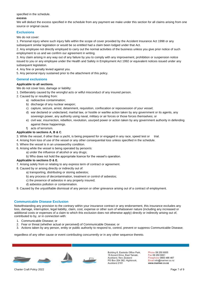specified in the schedule.

#### **excess**

We will deduct the excess specified in the schedule from any payment we make under this section for all claims arising from one source or original cause.

### **Exclusions**

We do not cover:

1. Personal injury where such injury falls within the scope of cover provided by the Accident Insurance Act 1998 or any subsequent similar legislation or would be so entitled had a claim been lodged under that Act.

2. Any employee not directly employed to carry out the normal activities of the business unless you give prior notice of such employment to us and we confirm our agreement in writing.

3. Any claim arising in any way out of any failure by you to comply with any improvement, prohibition or suspension notice issued to you or any employee under the Health and Safety in Employment Act 1992 or equivalent notices issued under any subsequent legislation.

4. Any fine or penalty levied against you.

5. Any personal injury sustained prior to the attachment of this policy.

#### **General exclusions**

#### **Applicable to all sections.**

We do not cover loss, damage or liability:

1. Deliberately caused by the wrongful acts or wilful misconduct of any insured person.

- 2. Caused by or resulting from:
	- a) radioactive contamination;
	- b) discharge of any nuclear weapon;
	- c) capture, seizure, arrest, detainment, requisition, confiscation or repossession of your vessel;
	- d) war declared or undeclared, martial law, or hostile or warlike action taken by any government or its agents, any sovereign power, any authority using naval, military or air forces or those forces themselves; or
	- e) civil war, insurrection, rebellion, revolution, usurped power or action taken by any government authority in defending against these happenings.
	- f) acts of terrorism.

#### **Applicable to sections A, B & C**.

- 3. While the vessel, if other than a yacht, is being prepared for or engaged in any race, speed test or trial.
- 4. Arising from loss of use of the vessel or any other consequential loss unless specified in the schedule.
- 5. Where the vessel is in an unseaworthy condition.
- 6. Arising while the vessel is being operated by person/s:
	- a) under the influence of alcohol or any drugs;
	- b) Who does not hold the appropriate licence for the vessel's operation.

#### **Applicable to sections D & E.**

- 7. Arising solely from or relating to any express term of contract or agreement.
- 8. Caused by or arising directly or indirectly out of:
	- a) transporting, distributing or storing asbestos;
	- b) any process of decontamination, treatment or control of asbestos;
	- c) the presence of asbestos in any property insured;
	- d) asbestos pollution or contamination.
- 9. Caused by the unjustifiable dismissal of any person or other grievance arising out of a contract of employment.

#### **Communicable Disease Exclusion**

Notwithstanding any provision to the contrary within your insurance contract or any endorsement, this insurance excludes any loss, damage, interruption, legal liability, claim, cost, expense or other sum of whatsoever nature (including any increased or additional costs or expenses of a claim to which this exclusion does not otherwise apply) directly or indirectly arising out of, contributed to by, or in connection with:

- 1. Communicable Disease; or
- 2. Fear or threat (whether actual or perceived) of Communicable Disease; or
- 3. Actions taken by any person, entity or public authority to respond to, control, prevent or suppress Communicable Disease;

regardless of any other cause or event contributing concurrently or in any other sequence thereto.



Building 6, Eastside Office Park, 15 Accent Drive, East Tamaki. Auckland, New Zealand PO Box 204 362, Highbrook. Auckland 2161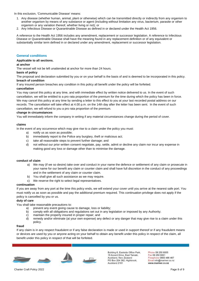In this exclusion, 'Communicable Disease' means:

- 1. Any disease (whether human, animal, plant or otherwise) which can be transmitted directly or indirectly from any organism to another organism by means of any substance or agent (including without limitation any virus, bacterium, parasite or other organism or any variation thereof, whether living or not); or
- 2. Any Infectious Disease or Quarantinable Disease as defined in or declared under the Health Act 1956.

A reference to the Health Act 1956 includes any amendment, replacement or successor legislation. A reference to Infectious Disease or Quarantinable Disease shall have the meaning found in any replacement definition or of any equivalent or substantially similar term defined in or declared under any amendment, replacement or successor legislation.

#### **General conditions**

#### **Applicable to all sections.**

#### **at anchor**

The vessel will not be left unattended at anchor for more than 24 hours.

#### **basis of policy**

The proposal and declaration submitted by you or on your behalf is the basis of and is deemed to be incorporated in this policy. **breach of condition**

If any insured person breaches any condition in this policy all benefit under the policy will be forfeited.

#### **cancellation**

You may cancel this policy at any time, and with immediate effect by written notice delivered to us. In the event of such cancellation, we will be entitled to a pro rata proportion of the premium for the time during which the policy has been in force. We may cancel this policy at any time by sending a letter to this effect to you at your last recorded postal address on our records. The cancellation will take effect at 4.00 p.m. on the 14th day after the letter has been sent. In the event of such cancellation, we will refund to you a pro rata proportion of the premium.

#### **change in circumstances**

You will immediately inform the company in writing if any material circumstances change during the period of cover.

#### **claims**

In the event of any occurrence which may give rise to a claim under the policy you must:

- a) notify us as soon as possible;
- b) immediately report to the Police any burglary, theft or malicious act;
- c) take all reasonable steps to prevent further damage; and
- d) not without our prior written consent negotiate, pay, settle, admit or decline any claim nor incur any expense in making good any loss or damage other than to minimise the damage.

#### **conduct of claim**

- a) We may (if we so desire) take over and conduct in your name the defence or settlement of any claim or prosecute in your name for our benefit any claim or counter claim and shall have full discretion in the conduct of any proceedings and in the settlement of any claim or counter claim.
- b) You shall give all such assistance as we may require.
- c) We reserve the right to select legal representatives.

#### **continuation**

If you are away from any port at the time this policy ends, we will extend your cover until you arrive at the nearest safe port. You must notify us as soon as possible and pay the additional premium required. This continuation privilege does not apply if the policy is cancelled by you or us.

#### **duty of care**

You shall take reasonable precautions to:

- a) prevent any event giving cause to damage, loss or liability;
- b) comply with all obligations and regulations set out in any legislation or imposed by any Authority;
- c) maintain the property insured in proper repair; and
- d) remedy and/or eliminate (at your own expense) any defect or any danger that may give rise to a claim under this policy.

#### **fraud**

If any claim is in any respect fraudulent or if any false declaration is made or used in support thereof or if any fraudulent means or devices are used by you or anyone acting on your behalf to obtain any benefit under this policy in respect of the claim, all benefit under this policy in respect of that will be forfeited.



Building 6, Eastside Office Park, 15 Accent Drive, East Tamaki, Auckland, New Zealand PO Box 204 362, Highbrook, Auckland 2161